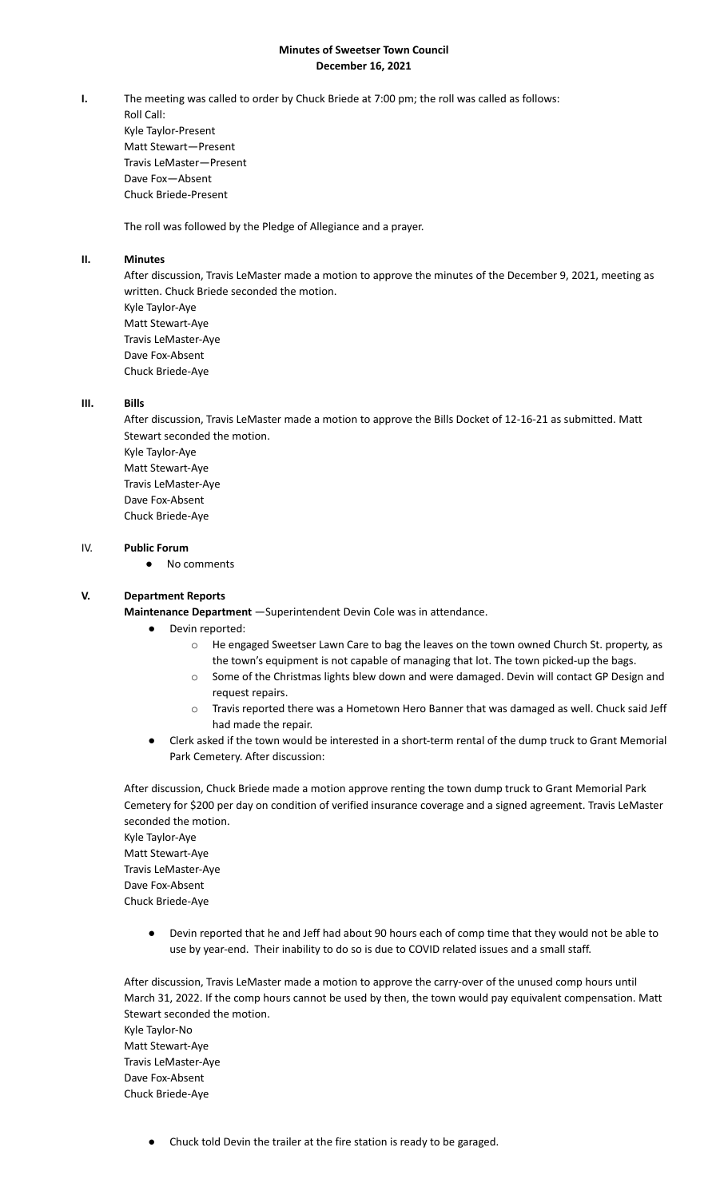## **Minutes of Sweetser Town Council December 16, 2021**

**I.** The meeting was called to order by Chuck Briede at 7:00 pm; the roll was called as follows: Roll Call: Kyle Taylor-Present Matt Stewart—Present Travis LeMaster—Present Dave Fox—Absent Chuck Briede-Present

The roll was followed by the Pledge of Allegiance and a prayer.

## **II. Minutes**

After discussion, Travis LeMaster made a motion to approve the minutes of the December 9, 2021, meeting as written. Chuck Briede seconded the motion. Kyle Taylor-Aye Matt Stewart-Aye Travis LeMaster-Aye Dave Fox-Absent Chuck Briede-Aye

## **III. Bills**

After discussion, Travis LeMaster made a motion to approve the Bills Docket of 12-16-21 as submitted. Matt Stewart seconded the motion. Kyle Taylor-Aye Matt Stewart-Aye Travis LeMaster-Aye Dave Fox-Absent Chuck Briede-Aye

# IV. **Public Forum**

● No comments

#### **V. Department Reports**

**Maintenance Department** —Superintendent Devin Cole was in attendance.

- Devin reported:
	- o He engaged Sweetser Lawn Care to bag the leaves on the town owned Church St. property, as the town's equipment is not capable of managing that lot. The town picked-up the bags.
	- o Some of the Christmas lights blew down and were damaged. Devin will contact GP Design and request repairs.
	- o Travis reported there was a Hometown Hero Banner that was damaged as well. Chuck said Jeff had made the repair.
- Clerk asked if the town would be interested in a short-term rental of the dump truck to Grant Memorial Park Cemetery. After discussion:

After discussion, Chuck Briede made a motion approve renting the town dump truck to Grant Memorial Park Cemetery for \$200 per day on condition of verified insurance coverage and a signed agreement. Travis LeMaster seconded the motion. Kyle Taylor-Aye Matt Stewart-Aye Travis LeMaster-Aye Dave Fox-Absent Chuck Briede-Aye

Devin reported that he and Jeff had about 90 hours each of comp time that they would not be able to use by year-end. Their inability to do so is due to COVID related issues and a small staff.

After discussion, Travis LeMaster made a motion to approve the carry-over of the unused comp hours until March 31, 2022. If the comp hours cannot be used by then, the town would pay equivalent compensation. Matt Stewart seconded the motion. Kyle Taylor-No Matt Stewart-Aye Travis LeMaster-Aye Dave Fox-Absent Chuck Briede-Aye

Chuck told Devin the trailer at the fire station is ready to be garaged.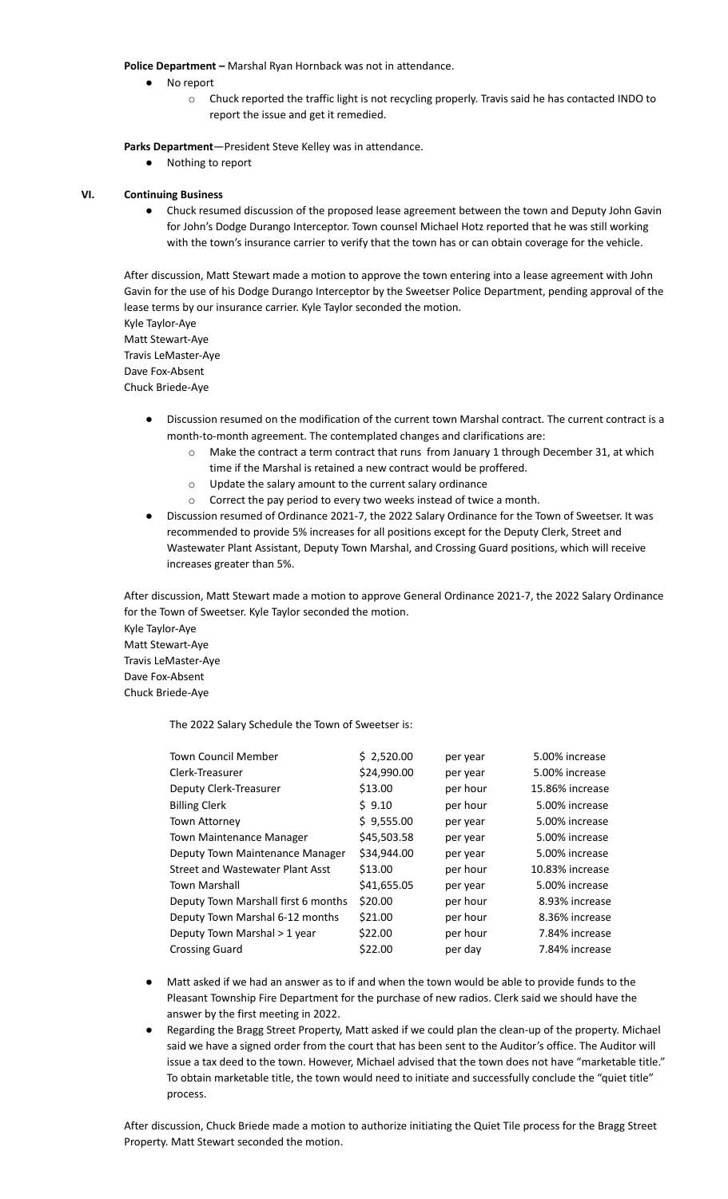**Police Department –** Marshal Ryan Hornback was not in attendance.

- No report
	- o Chuck reported the traffic light is not recycling properly. Travis said he has contacted INDO to report the issue and get it remedied.

**Parks Department**—President Steve Kelley was in attendance.

● Nothing to report

#### **VI. Continuing Business**

● Chuck resumed discussion of the proposed lease agreement between the town and Deputy John Gavin for John's Dodge Durango Interceptor. Town counsel Michael Hotz reported that he was still working with the town's insurance carrier to verify that the town has or can obtain coverage for the vehicle.

After discussion, Matt Stewart made a motion to approve the town entering into a lease agreement with John Gavin for the use of his Dodge Durango Interceptor by the Sweetser Police Department, pending approval of the lease terms by our insurance carrier. Kyle Taylor seconded the motion.

Kyle Taylor-Aye Matt Stewart-Aye Travis LeMaster-Aye Dave Fox-Absent

Chuck Briede-Aye

- Discussion resumed on the modification of the current town Marshal contract. The current contract is a month-to-month agreement. The contemplated changes and clarifications are:
	- $\circ$  Make the contract a term contract that runs from January 1 through December 31, at which time if the Marshal is retained a new contract would be proffered.
	- o Update the salary amount to the current salary ordinance
	- o Correct the pay period to every two weeks instead of twice a month.
- Discussion resumed of Ordinance 2021-7, the 2022 Salary Ordinance for the Town of Sweetser. It was recommended to provide 5% increases for all positions except for the Deputy Clerk, Street and Wastewater Plant Assistant, Deputy Town Marshal, and Crossing Guard positions, which will receive increases greater than 5%.

After discussion, Matt Stewart made a motion to approve General Ordinance 2021-7, the 2022 Salary Ordinance for the Town of Sweetser. Kyle Taylor seconded the motion. Kyle Taylor-Aye

Matt Stewart-Aye Travis LeMaster-Aye Dave Fox-Absent Chuck Briede-Aye

The 2022 Salary Schedule the Town of Sweetser is:

| <b>Town Council Member</b>          | \$2,520.00  | per year | 5.00% increase  |
|-------------------------------------|-------------|----------|-----------------|
| Clerk-Treasurer                     | \$24,990.00 | per year | 5.00% increase  |
| Deputy Clerk-Treasurer              | \$13.00     | per hour | 15.86% increase |
| <b>Billing Clerk</b>                | \$9.10      | per hour | 5.00% increase  |
| <b>Town Attorney</b>                | \$9,555.00  | per year | 5.00% increase  |
| <b>Town Maintenance Manager</b>     | \$45,503.58 | per year | 5.00% increase  |
| Deputy Town Maintenance Manager     | \$34,944.00 | per year | 5.00% increase  |
| Street and Wastewater Plant Asst    | \$13.00     | per hour | 10.83% increase |
| <b>Town Marshall</b>                | \$41,655.05 | per year | 5.00% increase  |
| Deputy Town Marshall first 6 months | \$20.00     | per hour | 8.93% increase  |
| Deputy Town Marshal 6-12 months     | \$21.00     | per hour | 8.36% increase  |
| Deputy Town Marshal > 1 year        | \$22.00     | per hour | 7.84% increase  |
| <b>Crossing Guard</b>               | \$22.00     | per day  | 7.84% increase  |
|                                     |             |          |                 |

- Matt asked if we had an answer as to if and when the town would be able to provide funds to the Pleasant Township Fire Department for the purchase of new radios. Clerk said we should have the answer by the first meeting in 2022.
- Regarding the Bragg Street Property, Matt asked if we could plan the clean-up of the property. Michael said we have a signed order from the court that has been sent to the Auditor's office. The Auditor will issue a tax deed to the town. However, Michael advised that the town does not have "marketable title." To obtain marketable title, the town would need to initiate and successfully conclude the "quiet title" process.

After discussion, Chuck Briede made a motion to authorize initiating the Quiet Tile process for the Bragg Street Property. Matt Stewart seconded the motion.